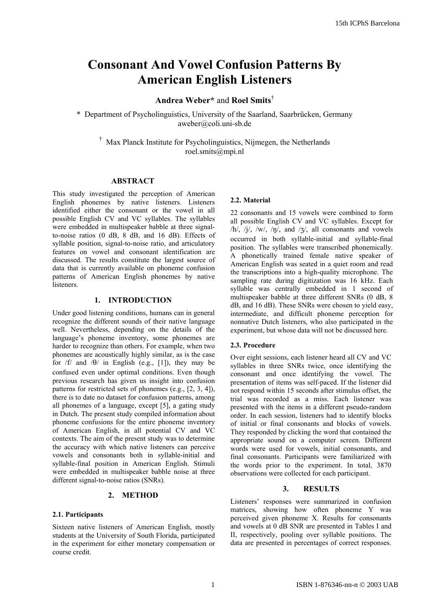# **Consonant And Vowel Confusion Patterns By American English Listeners**

# **Andrea Weber\*** and **Roel Smits**†

\* Department of Psycholinguistics, University of the Saarland, Saarbrücken, Germany aweber@coli.uni-sb.de

† Max Planck Institute for Psycholinguistics, Nijmegen, the Netherlands roel.smits@mpi.nl

### **ABSTRACT**

This study investigated the perception of American English phonemes by native listeners. Listeners identified either the consonant or the vowel in all possible English CV and VC syllables. The syllables were embedded in multispeaker babble at three signalto-noise ratios  $(0 \text{ dB}, 8 \text{ dB}, \text{ and } 16 \text{ dB})$ . Effects of syllable position, signal-to-noise ratio, and articulatory features on vowel and consonant identification are discussed. The results constitute the largest source of data that is currently available on phoneme confusion patterns of American English phonemes by native listeners.

# **1. INTRODUCTION**

Under good listening conditions, humans can in general recognize the different sounds of their native language well. Nevertheless, depending on the details of the language's phoneme inventory, some phonemes are harder to recognize than others. For example, when two phonemes are acoustically highly similar, as is the case for  $/f$  and  $/θ$  in English (e.g., [1]), they may be confused even under optimal conditions. Even though previous research has given us insight into confusion patterns for restricted sets of phonemes (e.g., [2, 3, 4]), there is to date no dataset for confusion patterns, among all phonemes of a language, except [5], a gating study in Dutch. The present study compiled information about phoneme confusions for the entire phoneme inventory of American English, in all potential CV and VC contexts. The aim of the present study was to determine the accuracy with which native listeners can perceive vowels and consonants both in syllable-initial and syllable-final position in American English. Stimuli were embedded in multispeaker babble noise at three different signal-to-noise ratios (SNRs).

# **2. METHOD**

#### **2.1. Participants**

Sixteen native listeners of American English, mostly students at the University of South Florida, participated in the experiment for either monetary compensation or course credit.

#### **2.2. Material**

22 consonants and 15 vowels were combined to form all possible English CV and VC syllables. Except for  $/h/$ ,  $/j/$ ,  $/w/$ ,  $/\eta/$ , and  $/3/$ , all consonants and vowels occurred in both syllable-initial and syllable-final position. The syllables were transcribed phonemically. A phonetically trained female native speaker of American English was seated in a quiet room and read the transcriptions into a high-quality microphone. The sampling rate during digitization was 16 kHz. Each syllable was centrally embedded in 1 second of multispeaker babble at three different SNRs (0 dB, 8 dB, and 16 dB). These SNRs were chosen to yield easy, intermediate, and difficult phoneme perception for nonnative Dutch listeners, who also participated in the experiment, but whose data will not be discussed here.

#### **2.3. Procedure**

Over eight sessions, each listener heard all CV and VC syllables in three SNRs twice, once identifying the consonant and once identifying the vowel. The presentation of items was self-paced. If the listener did not respond within 15 seconds after stimulus offset, the trial was recorded as a miss. Each listener was presented with the items in a different pseudo-random order. In each session, listeners had to identify blocks of initial or final consonants and blocks of vowels. They responded by clicking the word that contained the appropriate sound on a computer screen. Different words were used for vowels, initial consonants, and final consonants. Participants were familiarized with the words prior to the experiment. In total, 3870 observations were collected for each participant.

#### **3. RESULTS**

Listeners' responses were summarized in confusion matrices, showing how often phoneme Y was perceived given phoneme X. Results for consonants and vowels at 0 dB SNR are presented in Tables I and II, respectively, pooling over syllable positions. The data are presented in percentages of correct responses.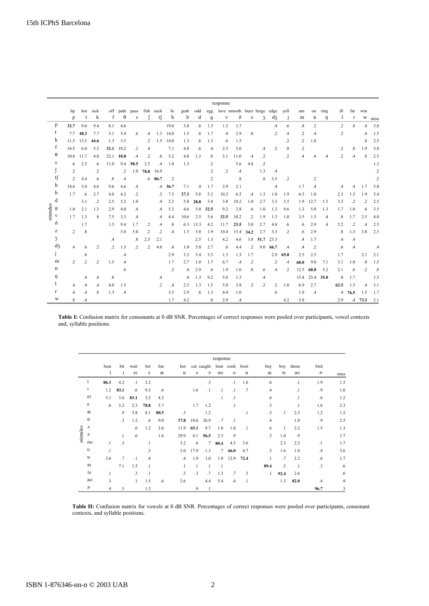|                                         |      |                   | response          |                      |               |               |                   |                |               |               |               |               |               |                             |                   |                                                       |                |               |                   |                   |               |               |                   |                   |                        |               |
|-----------------------------------------|------|-------------------|-------------------|----------------------|---------------|---------------|-------------------|----------------|---------------|---------------|---------------|---------------|---------------|-----------------------------|-------------------|-------------------------------------------------------|----------------|---------------|-------------------|-------------------|---------------|---------------|-------------------|-------------------|------------------------|---------------|
|                                         |      | lip               | hot               | sick                 |               | off path      | pass              |                | fish such     | hi            | grab          | odd           | egg           | love smooth buzz beige edge |                   |                                                       |                |               | vell              | am                | on            | ring          | ill               | far               | win                    |               |
|                                         |      | p                 | t                 | k                    | f             | $\theta$      | s                 | $\int$         | t∫            | h             | b             | d             | $\mathbf{g}$  | $\mathbf{V}$                | ð                 | $\mathbf{Z}% ^{T}=\mathbf{Z}^{T}\times\mathbf{Z}^{T}$ | 3              | $d_3$         | $\mathbf{J}$      | m                 | n             | ŋ             | $\perp$           | r                 | W                      | miss          |
| p                                       | 32.7 |                   | 9.6               | 9.4                  | 8.1           | 4.6           |                   |                |               | 19.6          | 3.8           | $\cdot$ 8     | 1.3           | 1.3                         | 1.7               |                                                       |                | $\mathcal{A}$ | .6                | $\boldsymbol{.8}$ | $\cdot$       |               | $\cdot$ 2         | $\boldsymbol{.8}$ | $\mathcal{A}$          | 3.8           |
| t<br>k                                  |      |                   | $7.7$ 48.3        | 7.7                  | 3.1           | 5.4           | .6                | $\mathcal{A}$  | 1.3           | 14.0          | 1.5           | $\cdot$ 8     | 1.7           | $\mathcal{A}$               | 2.9               | $\boldsymbol{.8}$                                     |                | $\cdot$       | $\mathcal{A}$     | $\cdot$           | $\mathcal{A}$ |               | $\overline{2}$    |                   | $\mathcal{A}$          | 1.5           |
|                                         | 11.5 |                   | 13.5              | 44.6                 | 1.3           | 3.5           |                   | $\cdot$        | 1.5           | 14.0          | 1.3           | .6            | 1.3           | .6                          | 1.5               |                                                       |                |               | $\cdot$           | $\cdot$           | 1.0           |               |                   |                   | $\boldsymbol{.8}$      | 2.5           |
| f                                       | 16.5 |                   | 6.0               | 5.2                  | 32.1          | 10.2          | $\cdot$           | .4             |               | 7.1           | 4.8           | .6            | $\mathcal{A}$ | 2.5                         | 5.6               |                                                       | $\cdot$        | $\cdot$       | $\boldsymbol{.8}$ | $\cdot$           |               |               | $\cdot$           | .8                | 1.9                    | 3.8           |
| θ                                       | 10.8 |                   | 11.7              | 4.0                  |               | 22.1 18.8     | $\mathcal{A}$     | $\cdot$        | .6            | 5.2           | 4.0           | 1.3           | .8            | 3.1                         | 11.0              | $\mathcal{A}$                                         | $\overline{2}$ |               | $\cdot$           | $\mathcal{A}$     | $\mathcal{A}$ | $\mathcal{A}$ | $\cdot$           | $\mathcal{A}$     | $\cdot$ <sup>8</sup> . | 2.5           |
| s                                       |      | .6                | 2.5               | .6                   | 11.0          | 9.4           | 58.5              | 2.5            | $\mathcal{A}$ | 1.0           | 1.3           |               | $\cdot$       |                             | 5.6               | 4.8                                                   | $\cdot$        |               |                   |                   |               |               |                   |                   |                        | 1.3           |
| ſ<br>tſ<br>h<br>b<br>d<br>stimulus<br>g |      | $\overline{2}$    |                   | $\cdot$              |               | $\cdot$       | 1.0               | 78.8           | 16.9          |               |               |               | $\cdot$       | $\cdot$                     | $\mathcal{A}$     |                                                       | 1.3            | $\mathcal{A}$ |                   |                   |               |               |                   |                   |                        | $\cdot$       |
|                                         |      | $\cdot$           | 4.4               | .6                   | .8            | .4            |                   |                | $.6$ 86.7     | $\cdot$       |               |               | .2            |                             | $\boldsymbol{.8}$ |                                                       | .8             | 3.5           | $\cdot$           |                   | .2            |               |                   |                   |                        | .2            |
|                                         | 14.6 |                   | 5.0               | 4.6                  | 9.6           | 4.6           | $\mathcal{A}$     |                | $\mathcal{A}$ | 36.7          | 7.1           | $\mathcal{A}$ | 1.7           | 2.9                         | 2.1               |                                                       |                | .4            |                   | 1.7               | $\mathcal{A}$ |               | $\mathcal{A}$     | .4                | 1.7                    | 5.0           |
|                                         | 1.7  |                   | $.6\phantom{0}$   | 2.7                  | 4.8           | 4.2           | $\cdot$           |                | $\cdot$       | 7.5           | 27.3          | 5.8           | 5.2           | 10.2                        | 6.5               | $\mathcal{A}$                                         | 1.3            | 1.0           | 1.9               | 6.5               | 1.0           |               | 2.3               | 1.5               | 1.9                    | 5.4           |
|                                         |      |                   | 3.1               | $\cdot$              | 2.5           | 5.2           | 1.0               |                | $\mathcal{A}$ | 2.3           | 5.8           | 28.8          | 3.8           | 3.8                         | 10.2              | 1.0                                                   | 2.7            | 3.3           | 3.5               | 1.9               | 12.7          | 1.5           | 3.3               | $\cdot$           | $\cdot$                | 2.5           |
|                                         | 1.0  |                   | 2.1               | 1.3                  | 2.9           | 4.0           | $\mathcal{A}$     |                | $\mathcal{A}$ | 5.2           | 4.6           | 5.8           | 32.5          | 9.2                         | 3.8               | .6                                                    | 1.0            | 1.3           | 9.6               | 1.3               | 5.0           | 1.3           | 1.7               | 1.0               | .6                     | 3.5           |
| V                                       | 1.7  |                   | 1.3               | $\cdot$ <sup>8</sup> | 7.5           | 3.3           | $\mathcal{A}$     |                | $\mathcal{A}$ | 4.4           | 10.6          | 2.5           | 5.6           | 32.5                        | 10.2              | $\cdot$                                               | 1.9            | 1.3           | 1.0               | 3.5               | 1.5           | $\mathcal{A}$ | $\boldsymbol{.8}$ | 1.7               | 2.5                    | 4.0           |
| ð                                       |      |                   | 1.7               |                      | 1.5           | 9.4           | 1.7               | $\cdot$ .2     | $\mathcal{A}$ | $.8\,$        | 6.3           | 13.3          | 4.2           | 11.7                        | 23.5              | 5.0                                                   | 2.7            | 4.8           | .6                | .6                | 2.9           | $\mathcal{A}$ | 5.2               | $\cdot$           | $\mathcal{A}$          | 2.5           |
| z                                       |      | $\overline{2}$    | .8                |                      |               | 5.8           | 5.0               | $\cdot$        | .2            | .4            | 1.5           | 5.8           | 1.9           | 10.4                        | 15.4              | 34.2                                                  | 2.7            | 3.3           | $\cdot$           | .6                | 2.9           |               | $\boldsymbol{.8}$ | 1.3               | 3.8                    | 2.5           |
| 3                                       |      |                   |                   |                      | $\mathcal{A}$ |               | $\boldsymbol{.8}$ | 2.5            | 2.1           |               |               | 2.5           | 1.3           | 4.2                         | 4.6               | 3.8                                                   | 51.7           | 23.3          |                   | $\mathcal{A}$     | 1.7           |               | .4                | $\mathcal{A}$     |                        |               |
|                                         | d3   | $\mathcal{A}$     | .6                | $\cdot$              | $\cdot$       | 1.5           | $\overline{2}$    | $\overline{2}$ | 4.0           | .6            | 1.0           | 5.0           | 2.7           | .6                          | 4.4               | $\cdot$                                               | 9.0            | 66.7          | $.4\phantom{0}$   | $\mathcal{A}$     | $\cdot$       |               | .6                | $\mathcal{A}$     |                        | $\cdot^4$     |
| J                                       |      |                   | $\boldsymbol{.8}$ |                      |               | $\mathcal{A}$ |                   |                |               | 2.9           | 3.3           | 5.4           | 3.3           | 1.3                         | 1.3               | 1.7                                                   |                | 2.9           | 65.8              | 2.5               | 2.5           |               | 1.7               |                   | 2.1                    | 2.1           |
|                                         | m    | $\overline{2}$    | $\overline{2}$    | $\cdot$              | 1.5           | $\mathcal{A}$ |                   |                |               | 1.7           | 2.7           | 1.0           | 1.7           | 6.7                         | .4                | .2                                                    |                | $\cdot$       | .4                | 60.0              | 9.0           | 7.1           | 3.1               | 1.0               | $\cdot$ 8              | 1.5           |
| n                                       |      |                   |                   |                      |               | .6            |                   |                |               | $\cdot$       | $\mathcal{A}$ | 2.9           | .6            | 1.9                         | 1.0               | $\boldsymbol{.8}$                                     | .6             | $\mathcal{A}$ | $\cdot$           | 12.5              | 68.8          | 5.2           | 2.1               | .6                | $\cdot$                | $^{\circ}$ .8 |
| ŋ                                       |      |                   | $\mathcal{A}$     | $\cdot$              | $.8\,$        |               |                   |                | .4            |               | $\mathcal{A}$ | 1.3           | 9.2           | 5.8                         | 1.3               |                                                       | $\cdot$        |               |                   | 15.4              | 25.4 35.0     |               | $\boldsymbol{.8}$ | 1.7               |                        | 1.3           |
| 1                                       |      | .4                | $\mathcal{A}$     | $\cdot$              | 4.0           | 1.5           |                   |                | $\cdot$       | $\mathcal{A}$ | 2.5           | 1.3           | 1.5           | 5.0                         | 3.8               | $\cdot$                                               | $\cdot$        | $\cdot$       | 1.0               | 6.9               | 2.7           |               | 62.5              | 1.5               | $\mathcal{A}$          | 3.1           |
| r                                       |      | $\mathcal{A}$     | $\mathcal{A}$     | $\cdot^8$            | 1.3           | $\mathcal{A}$ |                   |                |               | 3.5           | 2.9           | .6            | 1.3           | 4.4                         | 1.0               |                                                       |                | .6            |                   | 1.9               | $\mathcal{A}$ |               |                   | $.4$ 76.5         | 1.5                    | 1.7           |
|                                         | W    | $\boldsymbol{.8}$ | $\mathcal{A}$     |                      |               |               |                   |                |               | 1.7           | 4.2           |               | .8            | 2.9                         | $\cdot$ 4         |                                                       |                |               | 4.2               | 5.8               |               |               | 2.9               |                   | $.4$ 73.3              | 2.1           |

Table I: Confusion matrix for consonants at 0 dB SNR. Percentages of correct responses were pooled over participants, vowel contexts and, syllable positions.

|          |          | response      |           |           |                      |      |               |           |                 |           |                           |           |                         |                 |         |                 |      |
|----------|----------|---------------|-----------|-----------|----------------------|------|---------------|-----------|-----------------|-----------|---------------------------|-----------|-------------------------|-----------------|---------|-----------------|------|
|          |          | beat          | bit       | wait      | bet                  | bat  | hot           |           |                 |           | cut caught boat cook boot |           | buy                     | boy             | shout   | bird            |      |
|          |          | $\mathbf{i}$  | $\bf{I}$  | eI        | ε                    | æ    | $\alpha$      | $\Lambda$ | $\circ$         | ou        | U                         | u         | aı                      | 1C              | au      | $\sigma$        | miss |
|          | 1        | 86.3          | 4.2       | $\cdot$   | 3.2                  |      |               |           | .3              |           | $\cdot$                   | 1.6       | .6                      |                 | $\cdot$ | 1.9             | 1.5  |
|          | 1        | 1.2           | 83.1      | .6        | 9.3                  | .6   |               | 1.6       | $\cdot$ 1       | $\cdot$   | $\cdot$ 1                 | .7        | $\mathcal{A}$           |                 | $\cdot$ | $\cdot$         | 1.0  |
|          | ei       | 3.1           | 3.6       | 83.1      | 3.2                  | 4.2  |               |           |                 | $\cdot$ 1 | $\cdot$ 1                 |           | .6                      |                 | $\cdot$ | .6              | 1.2  |
|          | ε        | .6            | 5.2       | 2.3       | 78.8                 | 5.7  |               | 1.7       | 1.2             |           | $\cdot$                   |           | $\cdot$ 3               |                 | $\cdot$ | 1.6             | 2.3  |
|          | æ        |               | $\cdot$   | 3.8       | 8.1                  | 80.5 | $\cdot$ 3     |           | 1.2             |           |                           | $\cdot$   | $\cdot$ 3               | $\cdot$         | 2.3     | 1.2             | 1.2  |
|          | a        |               | $\cdot$ 3 | 1.2       | .6                   | 9.0  | 37.8          | 18.6      | 26.9            | .7        | $\cdot$                   |           | .4                      |                 | 1.0     | .9              | 2.5  |
|          | Λ        |               |           | .6        | 1.2                  | 3.6  | 11.9          | 65.1      | 9.7             | 1.0       | 1.0                       | $\cdot$ 1 | .6                      | $\cdot$ 1       | 2.2     | 1.5             | 1.3  |
| stimulus | $\circ$  |               | $\cdot$   | .6        |                      | 1.6  | 29.9          | 4.1       | 56.5            | 2.3       | .9                        |           | $\overline{\mathbf{3}}$ | 1.0             | .9      |                 | 1.7  |
|          | ou       | $\cdot$ 1     | $\cdot$ 3 |           | $\cdot$ 1            |      | 3.2           | .6        | $.7\phantom{0}$ | 80.4      | 4.5                       | 3.6       |                         | 2.3             | 2.2     | $\cdot$ 1       | 1.7  |
|          | U        | $\cdot$ 1     |           |           | $\cdot$ <sub>3</sub> |      | 2.0           | 17.9      | 1.3             | $.7\,$    | 66.0                      | 4.7       | $\cdot$ 3               | 1.6             | 1.0     | $.4\phantom{0}$ | 3.6  |
|          | u        | 3.6           | .7        | $\cdot$   | $\mathcal{A}$        |      | $\mathcal{A}$ | 1.9       | 1.0             | 1.0       | 12.9                      | 72.4      | $\cdot$                 | $.7\phantom{0}$ | 2.2     | .6              | 1.7  |
|          | aI       |               | 7.1       | 1.5       | $\cdot$ 1            |      | $\cdot$ 1     | $\cdot$   | $\cdot$ 1       | $\cdot$ 1 |                           |           | 89.4                    | .3              | $\cdot$ | $\cdot$ 3       | .6   |
|          | 1C       | $\cdot$       |           | $\cdot$ 3 | $\cdot$              |      | $\cdot$ 3     | $\cdot$ 3 | .7              | 1.3       | .7                        | $\cdot$ 3 | $\cdot$                 | 92.4            | 2.6     |                 | .6   |
|          | au       | .3            |           | $\cdot$   | 1.5                  | .6   | 2.6           |           | 4.4             | 5.4       | $\mathcal{A}$             | $\cdot$   |                         | 1.3             | 82.0    | $\mathcal{A}$   | .9   |
|          | $\sigma$ | $\mathcal{A}$ | .3        |           | 1.3                  |      |               | .9        | $\cdot$ 1       |           |                           |           |                         |                 |         | 96.7            | .3   |

**Table II:** Confusion matrix for vowels at 0 dB SNR. Percentages of correct responses were pooled over participants, consonant contexts, and syllable positions.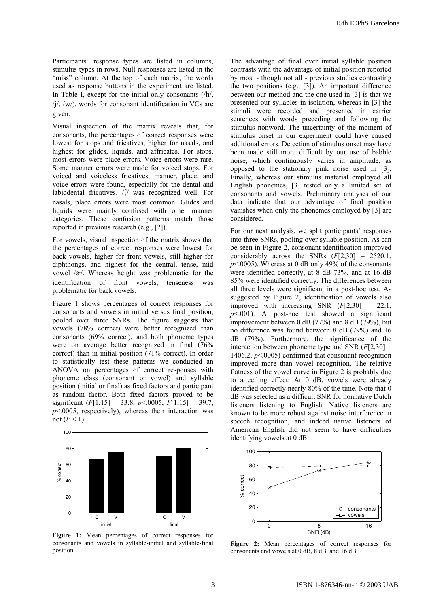Participants' response types are listed in columns, stimulus types in rows. Null responses are listed in the "miss" column. At the top of each matrix, the words used as response buttons in the experiment are listed. In Table I, except for the initial-only consonants (/h/,  $\frac{1}{\sqrt{2}}$ ,  $\frac{1}{\sqrt{2}}$ , words for consonant identification in VCs are given.

Visual inspection of the matrix reveals that, for consonants, the percentages of correct responses were lowest for stops and fricatives, higher for nasals, and highest for glides, liquids, and affricates. For stops, most errors were place errors. Voice errors were rare. Some manner errors were made for voiced stops. For voiced and voiceless fricatives, manner, place, and voice errors were found, especially for the dental and labiodental fricatives. / f/ was recognized well. For nasals, place errors were most common. Glides and liquids were mainly confused with other manner categories. These confusion patterns match those reported in previous research (e.g., [2]).

For vowels, visual inspection of the matrix shows that the percentages of correct responses were lowest for back vowels, higher for front vowels, still higher for diphthongs, and highest for the central, tense, mid vowel  $/\gamma$ . Whereas height was problematic for the identification of front vowels, tenseness was problematic for back vowels.

Figure 1 shows percentages of correct responses for consonants and vowels in initial versus final position, pooled over three SNRs. The figure suggests that vowels (78% correct) were better recognized than consonants (69% correct), and both phoneme types were on average better recognized in final (76% correct) than in initial position (71% correct). In order to statistically test these patterns we conducted an ANOVA on percentages of correct responses with phoneme class (consonant or vowel) and syllable position (initial or final) as fixed factors and participant as random factor. Both fixed factors proved to be significant  $(F[1,15] = 33.8, p \le 0.0005, F[1,15] = 39.7,$  $p$ <.0005, respectively), whereas their interaction was not  $(F<1)$ .



**Figure 1:** Mean percentages of correct responses for consonants and vowels in syllable-initial and syllable-final position.

The advantage of final over initial syllable position contrasts with the advantage of initial position reported by most - though not all - previous studies contrasting the two positions (e.g., [3]). An important difference between our method and the one used in [3] is that we presented our syllables in isolation, whereas in [3] the stimuli were recorded and presented in carrier sentences with words preceding and following the stimulus nonword. The uncertainty of the moment of stimulus onset in our experiment could have caused additional errors. Detection of stimulus onset may have been made still more difficult by our use of babble noise, which continuously varies in amplitude, as opposed to the stationary pink noise used in [3]. Finally, whereas our stimulus material employed all English phonemes, [3] tested only a limited set of consonants and vowels. Preliminary analyses of our data indicate that our advantage of final position vanishes when only the phonemes employed by [3] are considered.

For our next analysis, we split participants' responses into three SNRs, pooling over syllable position. As can be seen in Figure 2, consonant identification improved considerably across the SNRs (*F*[2,30] = 2520.1,  $p$ <.0005). Whereas at 0 dB only 49% of the consonants were identified correctly, at 8 dB 73%, and at 16 dB 85% were identified correctly. The differences between all three levels were significant in a post-hoc test. As suggested by Figure 2, identification of vowels also improved with increasing SNR (*F*[2,30] = 22.1,  $p$ <.001). A post-hoc test showed a significant improvement between 0 dB (77%) and 8 dB (79%), but no difference was found between 8 dB (79%) and 16 dB (79%). Furthermore, the significance of the interaction between phoneme type and SNR (*F*[2,30] = 1406.2, *p*<.0005) confirmed that consonant recognition improved more than vowel recognition. The relative flatness of the vowel curve in Figure 2 is probably due to a ceiling effect: At 0 dB, vowels were already identified correctly nearly 80% of the time. Note that 0 dB was selected as a difficult SNR for nonnative Dutch listeners listening to English. Native listeners are known to be more robust against noise interference in speech recognition, and indeed native listeners of American English did not seem to have difficulties identifying vowels at 0 dB.



**Figure 2:** Mean percentages of correct responses for consonants and vowels at 0 dB, 8 dB, and 16 dB.